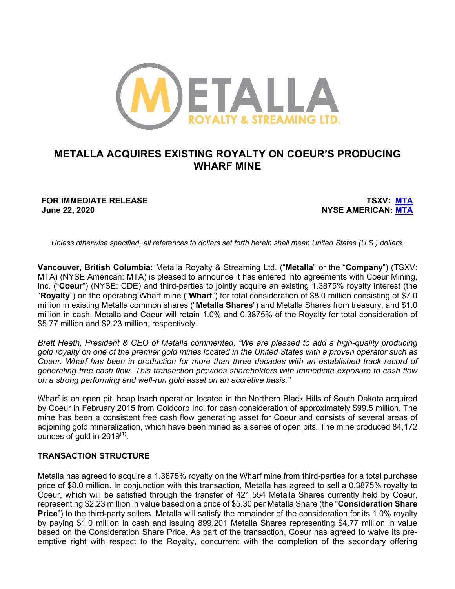

# **METALLA ACQUIRES EXISTING ROYALTY ON COEUR'S PRODUCING WHARF MINE**

**FOR IMMEDIATE RELEASE TSXV: MTA June 22, 2020 NYSE AMERICAN: MTA**

*Unless otherwise specified, all references to dollars set forth herein shall mean United States (U.S.) dollars.*

**Vancouver, British Columbia:** Metalla Royalty & Streaming Ltd. ("**Metalla**" or the "**Company**") (TSXV: MTA) (NYSE American: MTA) is pleased to announce it has entered into agreements with Coeur Mining, Inc. ("**Coeur**") (NYSE: CDE) and third-parties to jointly acquire an existing 1.3875% royalty interest (the "**Royalty**") on the operating Wharf mine ("**Wharf**") for total consideration of \$8.0 million consisting of \$7.0 million in existing Metalla common shares ("**Metalla Shares**") and Metalla Shares from treasury, and \$1.0 million in cash. Metalla and Coeur will retain 1.0% and 0.3875% of the Royalty for total consideration of \$5.77 million and \$2.23 million, respectively.

*Brett Heath, President & CEO of Metalla commented, "We are pleased to add a high-quality producing gold royalty on one of the premier gold mines located in the United States with a proven operator such as Coeur. Wharf has been in production for more than three decades with an established track record of generating free cash flow. This transaction provides shareholders with immediate exposure to cash flow on a strong performing and well-run gold asset on an accretive basis."* 

Wharf is an open pit, heap leach operation located in the Northern Black Hills of South Dakota acquired by Coeur in February 2015 from Goldcorp Inc. for cash consideration of approximately \$99.5 million. The mine has been a consistent free cash flow generating asset for Coeur and consists of several areas of adjoining gold mineralization, which have been mined as a series of open pits. The mine produced 84,172 ounces of gold in  $2019^{(1)}$ .

# **TRANSACTION STRUCTURE**

Metalla has agreed to acquire a 1.3875% royalty on the Wharf mine from third-parties for a total purchase price of \$8.0 million. In conjunction with this transaction, Metalla has agreed to sell a 0.3875% royalty to Coeur, which will be satisfied through the transfer of 421,554 Metalla Shares currently held by Coeur, representing \$2.23 million in value based on a price of \$5.30 per Metalla Share (the "**Consideration Share Price**") to the third-party sellers. Metalla will satisfy the remainder of the consideration for its 1.0% royalty by paying \$1.0 million in cash and issuing 899,201 Metalla Shares representing \$4.77 million in value based on the Consideration Share Price. As part of the transaction, Coeur has agreed to waive its preemptive right with respect to the Royalty, concurrent with the completion of the secondary offering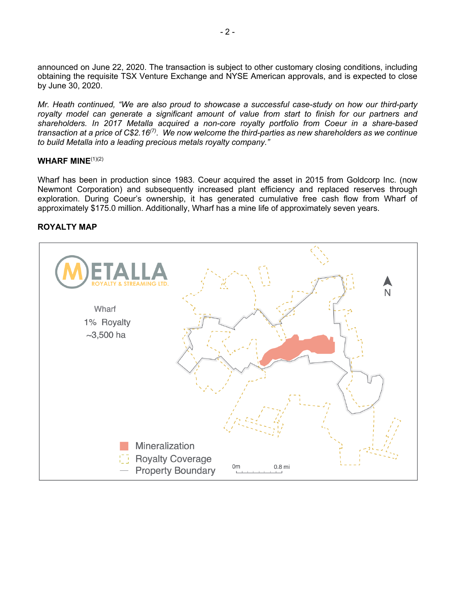announced on June 22, 2020. The transaction is subject to other customary closing conditions, including obtaining the requisite TSX Venture Exchange and NYSE American approvals, and is expected to close by June 30, 2020.

*Mr. Heath continued, "We are also proud to showcase a successful case-study on how our third-party royalty model can generate a significant amount of value from start to finish for our partners and shareholders. In 2017 Metalla acquired a non-core royalty portfolio from Coeur in a share-based transaction at a price of C\$2.16(7). We now welcome the third-parties as new shareholders as we continue to build Metalla into a leading precious metals royalty company."*

#### **WHARF MINE**(1)(2)

Wharf has been in production since 1983. Coeur acquired the asset in 2015 from Goldcorp Inc. (now Newmont Corporation) and subsequently increased plant efficiency and replaced reserves through exploration. During Coeur's ownership, it has generated cumulative free cash flow from Wharf of approximately \$175.0 million. Additionally, Wharf has a mine life of approximately seven years.

### **ROYALTY MAP**

| <b>ETALLA</b><br><b>STREAMING LTD.</b><br><b>ROYALTY &amp;</b><br>Æ.<br>$\overline{N}$<br>Wharf<br>1% Royalty<br>$\sim$ 3,500 ha |
|----------------------------------------------------------------------------------------------------------------------------------|
| Mineralization<br><b>TE Royalty Coverage</b><br>0 <sub>m</sub><br>$0.8$ mi<br>- Property Boundary                                |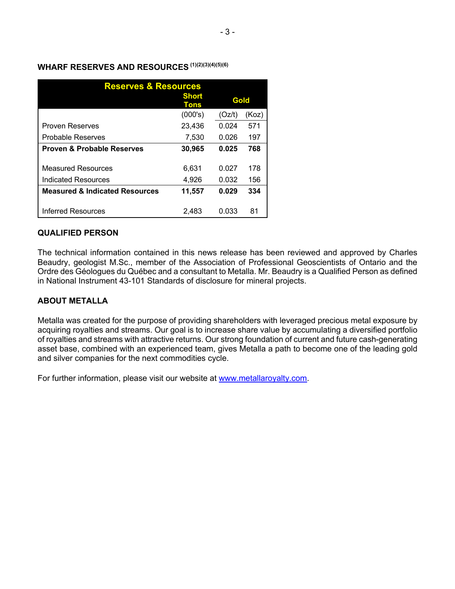| WHARF RESERVES AND RESOURCES (1)(2)(3)(4)(5)(6) |  |
|-------------------------------------------------|--|
|-------------------------------------------------|--|

| <b>Reserves &amp; Resources</b>                  |                      |                |            |  |
|--------------------------------------------------|----------------------|----------------|------------|--|
|                                                  | <b>Short</b><br>Tons | Gold           |            |  |
|                                                  | (000's)              | (Oz/t)         | (Koz)      |  |
| <b>Proven Reserves</b>                           | 23,436               | 0.024          | 571        |  |
| <b>Probable Reserves</b>                         | 7,530                | 0.026          | 197        |  |
| <b>Proven &amp; Probable Reserves</b>            | 30,965               | 0.025          | 768        |  |
| <b>Measured Resources</b><br>Indicated Resources | 6,631<br>4,926       | 0.027<br>0.032 | 178<br>156 |  |
| <b>Measured &amp; Indicated Resources</b>        | 11,557               | 0.029          | 334        |  |
| Inferred Resources                               | 2,483                | 0.033          | 81         |  |

# **QUALIFIED PERSON**

The technical information contained in this news release has been reviewed and approved by Charles Beaudry, geologist M.Sc., member of the Association of Professional Geoscientists of Ontario and the Ordre des Géologues du Québec and a consultant to Metalla. Mr. Beaudry is a Qualified Person as defined in National Instrument 43-101 Standards of disclosure for mineral projects.

# **ABOUT METALLA**

Metalla was created for the purpose of providing shareholders with leveraged precious metal exposure by acquiring royalties and streams. Our goal is to increase share value by accumulating a diversified portfolio of royalties and streams with attractive returns. Our strong foundation of current and future cash-generating asset base, combined with an experienced team, gives Metalla a path to become one of the leading gold and silver companies for the next commodities cycle.

For further information, please visit our website at www.metallaroyalty.com.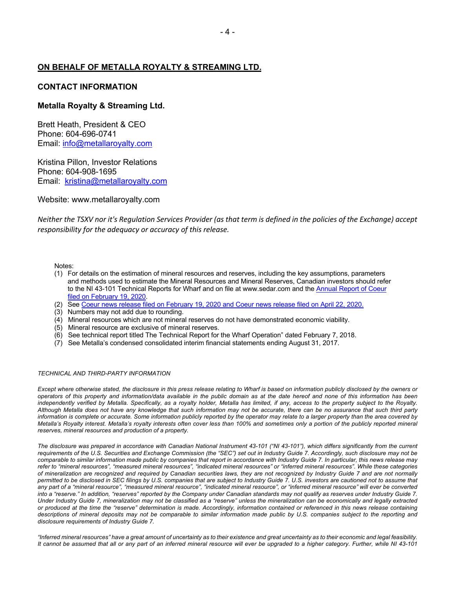### **ON BEHALF OF METALLA ROYALTY & STREAMING LTD.**

#### **CONTACT INFORMATION**

#### **Metalla Royalty & Streaming Ltd.**

Brett Heath, President & CEO Phone: 604-696-0741 Email: info@metallaroyalty.com

Kristina Pillon, Investor Relations Phone: 604-908-1695 Email: kristina@metallaroyalty.com

Website: www.metallaroyalty.com

*Neither the TSXV nor it's Regulation Services Provider (as that term is defined in the policies of the Exchange) accept responsibility for the adequacy or accuracy of this release.* 

Notes:

- (1) For details on the estimation of mineral resources and reserves, including the key assumptions, parameters and methods used to estimate the Mineral Resources and Mineral Reserves, Canadian investors should refer to the NI 43-101 Technical Reports for Wharf and on file at www.sedar.com and the Annual Report of Coeur filed on February 19, 2020.
- (2) See Coeur news release filed on February 19, 2020 and Coeur news release filed on April 22, 2020.
- (3) Numbers may not add due to rounding.
- (4) Mineral resources which are not mineral reserves do not have demonstrated economic viability.
- (5) Mineral resource are exclusive of mineral reserves.
- (6) See technical report titled The Technical Report for the Wharf Operation" dated February 7, 2018.
- (7) See Metalla's condensed consolidated interim financial statements ending August 31, 2017.

#### *TECHNICAL AND THIRD-PARTY INFORMATION*

Except where otherwise stated, the disclosure in this press release relating to Wharf is based on information publicly disclosed by the owners or *operators of this property and information/data available in the public domain as at the date hereof and none of this information has been*  independently verified by Metalla. Specifically, as a royalty holder, Metalla has limited, if any, access to the property subject to the Royalty. *Although Metalla does not have any knowledge that such information may not be accurate, there can be no assurance that such third party information is complete or accurate. Some information publicly reported by the operator may relate to a larger property than the area covered by Metalla's Royalty interest. Metalla's royalty interests often cover less than 100% and sometimes only a portion of the publicly reported mineral reserves, mineral resources and production of a property.*

*The disclosure was prepared in accordance with Canadian National Instrument 43-101 ("NI 43-101"), which differs significantly from the current requirements of the U.S. Securities and Exchange Commission (the "SEC") set out in Industry Guide 7. Accordingly, such disclosure may not be comparable to similar information made public by companies that report in accordance with Industry Guide 7. In particular, this news release may refer to "mineral resources", "measured mineral resources", "indicated mineral resources" or "inferred mineral resources". While these categories of mineralization are recognized and required by Canadian securities laws, they are not recognized by Industry Guide 7 and are not normally permitted to be disclosed in SEC filings by U.S. companies that are subject to Industry Guide 7. U.S. investors are cautioned not to assume that any part of a "mineral resource", "measured mineral resource", "indicated mineral resource", or "inferred mineral resource" will ever be converted into a "reserve." In addition, "reserves" reported by the Company under Canadian standards may not qualify as reserves under Industry Guide 7. Under Industry Guide 7, mineralization may not be classified as a "reserve" unless the mineralization can be economically and legally extracted or produced at the time the "reserve" determination is made. Accordingly, information contained or referenced in this news release containing descriptions of mineral deposits may not be comparable to similar information made public by U.S. companies subject to the reporting and disclosure requirements of Industry Guide 7.*

*"Inferred mineral resources" have a great amount of uncertainty as to their existence and great uncertainty as to their economic and legal feasibility. It cannot be assumed that all or any part of an inferred mineral resource will ever be upgraded to a higher category. Further, while NI 43-101*